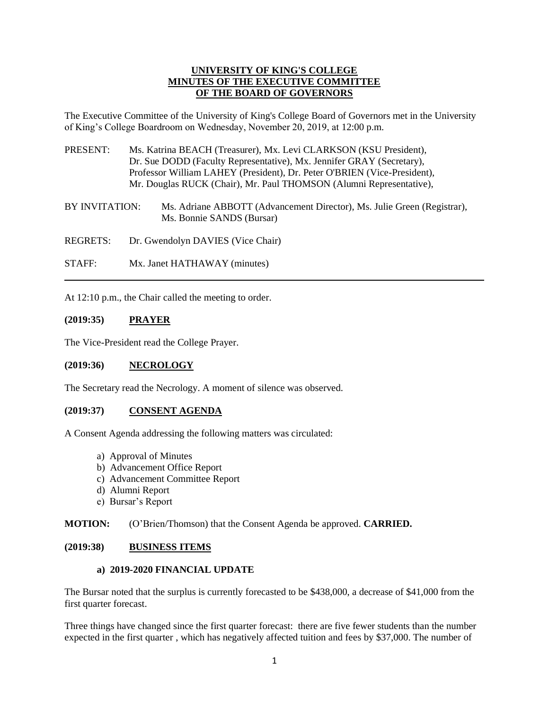### **UNIVERSITY OF KING'S COLLEGE MINUTES OF THE EXECUTIVE COMMITTEE OF THE BOARD OF GOVERNORS**

The Executive Committee of the University of King's College Board of Governors met in the University of King's College Boardroom on Wednesday, November 20, 2019, at 12:00 p.m.

- PRESENT: Ms. Katrina BEACH (Treasurer), Mx. Levi CLARKSON (KSU President), Dr. Sue DODD (Faculty Representative), Mx. Jennifer GRAY (Secretary), Professor William LAHEY (President), Dr. Peter O'BRIEN (Vice-President), Mr. Douglas RUCK (Chair), Mr. Paul THOMSON (Alumni Representative),
- BY INVITATION: Ms. Adriane ABBOTT (Advancement Director), Ms. Julie Green (Registrar), Ms. Bonnie SANDS (Bursar)

REGRETS: Dr. Gwendolyn DAVIES (Vice Chair)

STAFF: Mx. Janet HATHAWAY (minutes)

At 12:10 p.m., the Chair called the meeting to order.

### **(2019:35) PRAYER**

The Vice-President read the College Prayer.

#### **(2019:36) NECROLOGY**

The Secretary read the Necrology. A moment of silence was observed.

#### **(2019:37) CONSENT AGENDA**

A Consent Agenda addressing the following matters was circulated:

- a) Approval of Minutes
- b) Advancement Office Report
- c) Advancement Committee Report
- d) Alumni Report
- e) Bursar's Report

**MOTION:** (O'Brien/Thomson) that the Consent Agenda be approved. **CARRIED.**

#### **(2019:38) BUSINESS ITEMS**

### **a) 2019-2020 FINANCIAL UPDATE**

The Bursar noted that the surplus is currently forecasted to be \$438,000, a decrease of \$41,000 from the first quarter forecast.

Three things have changed since the first quarter forecast: there are five fewer students than the number expected in the first quarter , which has negatively affected tuition and fees by \$37,000. The number of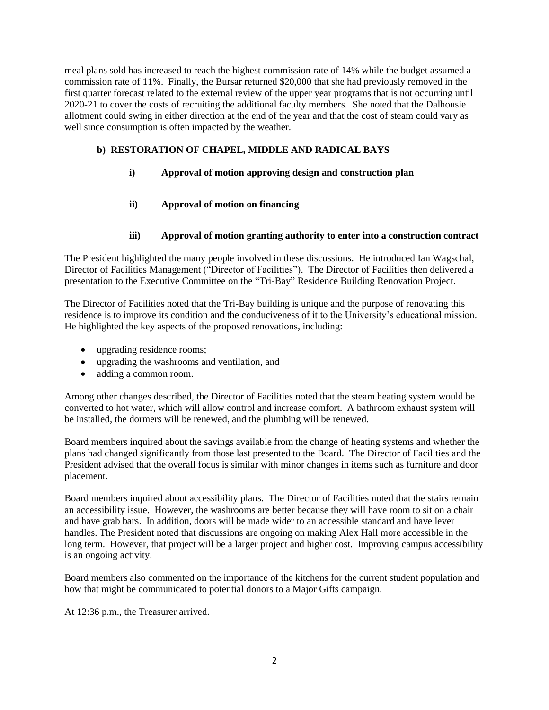meal plans sold has increased to reach the highest commission rate of 14% while the budget assumed a commission rate of 11%. Finally, the Bursar returned \$20,000 that she had previously removed in the first quarter forecast related to the external review of the upper year programs that is not occurring until 2020-21 to cover the costs of recruiting the additional faculty members. She noted that the Dalhousie allotment could swing in either direction at the end of the year and that the cost of steam could vary as well since consumption is often impacted by the weather.

# **b) RESTORATION OF CHAPEL, MIDDLE AND RADICAL BAYS**

- **i) Approval of motion approving design and construction plan**
- **ii) Approval of motion on financing**

## **iii) Approval of motion granting authority to enter into a construction contract**

The President highlighted the many people involved in these discussions. He introduced Ian Wagschal, Director of Facilities Management ("Director of Facilities"). The Director of Facilities then delivered a presentation to the Executive Committee on the "Tri-Bay" Residence Building Renovation Project.

The Director of Facilities noted that the Tri-Bay building is unique and the purpose of renovating this residence is to improve its condition and the conduciveness of it to the University's educational mission. He highlighted the key aspects of the proposed renovations, including:

- upgrading residence rooms;
- upgrading the washrooms and ventilation, and
- adding a common room.

Among other changes described, the Director of Facilities noted that the steam heating system would be converted to hot water, which will allow control and increase comfort. A bathroom exhaust system will be installed, the dormers will be renewed, and the plumbing will be renewed.

Board members inquired about the savings available from the change of heating systems and whether the plans had changed significantly from those last presented to the Board. The Director of Facilities and the President advised that the overall focus is similar with minor changes in items such as furniture and door placement.

Board members inquired about accessibility plans. The Director of Facilities noted that the stairs remain an accessibility issue. However, the washrooms are better because they will have room to sit on a chair and have grab bars. In addition, doors will be made wider to an accessible standard and have lever handles. The President noted that discussions are ongoing on making Alex Hall more accessible in the long term. However, that project will be a larger project and higher cost. Improving campus accessibility is an ongoing activity.

Board members also commented on the importance of the kitchens for the current student population and how that might be communicated to potential donors to a Major Gifts campaign.

At 12:36 p.m., the Treasurer arrived.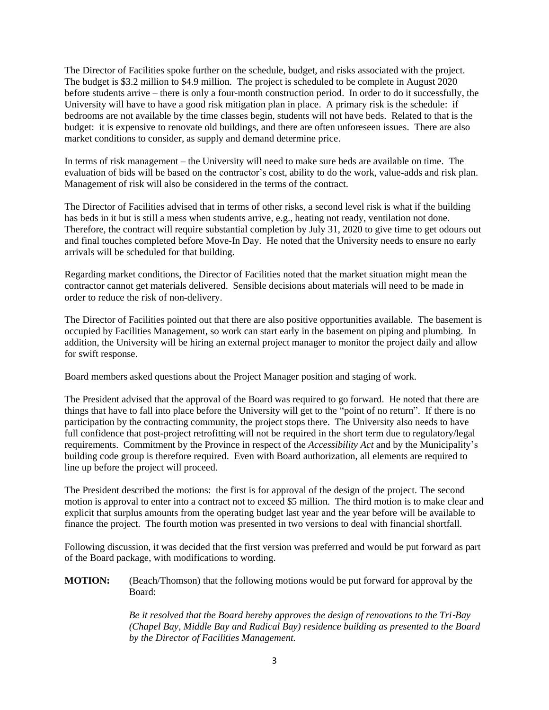The Director of Facilities spoke further on the schedule, budget, and risks associated with the project. The budget is \$3.2 million to \$4.9 million. The project is scheduled to be complete in August 2020 before students arrive – there is only a four-month construction period. In order to do it successfully, the University will have to have a good risk mitigation plan in place. A primary risk is the schedule: if bedrooms are not available by the time classes begin, students will not have beds. Related to that is the budget: it is expensive to renovate old buildings, and there are often unforeseen issues. There are also market conditions to consider, as supply and demand determine price.

In terms of risk management – the University will need to make sure beds are available on time. The evaluation of bids will be based on the contractor's cost, ability to do the work, value-adds and risk plan. Management of risk will also be considered in the terms of the contract.

The Director of Facilities advised that in terms of other risks, a second level risk is what if the building has beds in it but is still a mess when students arrive, e.g., heating not ready, ventilation not done. Therefore, the contract will require substantial completion by July 31, 2020 to give time to get odours out and final touches completed before Move-In Day. He noted that the University needs to ensure no early arrivals will be scheduled for that building.

Regarding market conditions, the Director of Facilities noted that the market situation might mean the contractor cannot get materials delivered. Sensible decisions about materials will need to be made in order to reduce the risk of non-delivery.

The Director of Facilities pointed out that there are also positive opportunities available. The basement is occupied by Facilities Management, so work can start early in the basement on piping and plumbing. In addition, the University will be hiring an external project manager to monitor the project daily and allow for swift response.

Board members asked questions about the Project Manager position and staging of work.

The President advised that the approval of the Board was required to go forward. He noted that there are things that have to fall into place before the University will get to the "point of no return". If there is no participation by the contracting community, the project stops there. The University also needs to have full confidence that post-project retrofitting will not be required in the short term due to regulatory/legal requirements. Commitment by the Province in respect of the *Accessibility Act* and by the Municipality's building code group is therefore required. Even with Board authorization, all elements are required to line up before the project will proceed.

The President described the motions: the first is for approval of the design of the project. The second motion is approval to enter into a contract not to exceed \$5 million. The third motion is to make clear and explicit that surplus amounts from the operating budget last year and the year before will be available to finance the project. The fourth motion was presented in two versions to deal with financial shortfall.

Following discussion, it was decided that the first version was preferred and would be put forward as part of the Board package, with modifications to wording.

**MOTION:** (Beach/Thomson) that the following motions would be put forward for approval by the Board:

> *Be it resolved that the Board hereby approves the design of renovations to the Tri*‐*Bay (Chapel Bay, Middle Bay and Radical Bay) residence building as presented to the Board by the Director of Facilities Management.*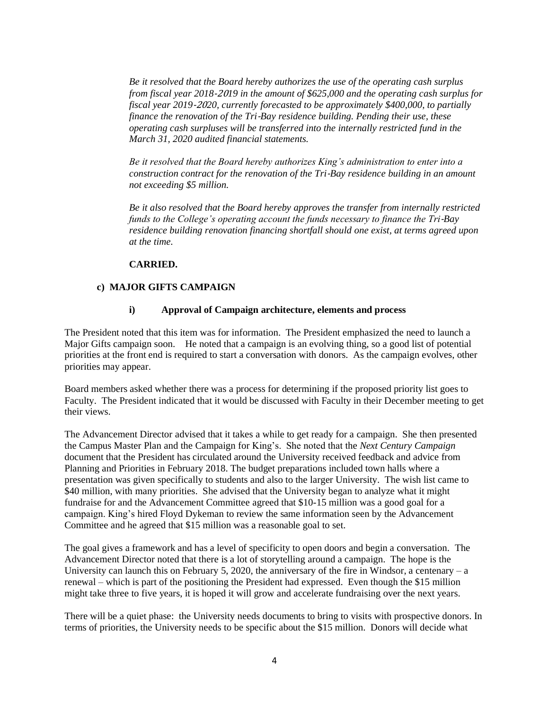*Be it resolved that the Board hereby authorizes the use of the operating cash surplus from fiscal year 2018*‐20*19 in the amount of \$625,000 and the operating cash surplus for fiscal year 2019*‐20*20, currently forecasted to be approximately \$400,000, to partially finance the renovation of the Tri*‐*Bay residence building. Pending their use, these operating cash surpluses will be transferred into the internally restricted fund in the March 31, 2020 audited financial statements.* 

*Be it resolved that the Board hereby authorizes King's administration to enter into a construction contract for the renovation of the Tri*‐*Bay residence building in an amount not exceeding \$5 million.* 

*Be it also resolved that the Board hereby approves the transfer from internally restricted funds to the College's operating account the funds necessary to finance the Tri*‐*Bay residence building renovation financing shortfall should one exist, at terms agreed upon at the time.*

#### **CARRIED.**

#### **c) MAJOR GIFTS CAMPAIGN**

#### **i) Approval of Campaign architecture, elements and process**

The President noted that this item was for information. The President emphasized the need to launch a Major Gifts campaign soon. He noted that a campaign is an evolving thing, so a good list of potential priorities at the front end is required to start a conversation with donors. As the campaign evolves, other priorities may appear.

Board members asked whether there was a process for determining if the proposed priority list goes to Faculty. The President indicated that it would be discussed with Faculty in their December meeting to get their views.

The Advancement Director advised that it takes a while to get ready for a campaign. She then presented the Campus Master Plan and the Campaign for King's. She noted that the *Next Century Campaign*  document that the President has circulated around the University received feedback and advice from Planning and Priorities in February 2018. The budget preparations included town halls where a presentation was given specifically to students and also to the larger University. The wish list came to \$40 million, with many priorities. She advised that the University began to analyze what it might fundraise for and the Advancement Committee agreed that \$10-15 million was a good goal for a campaign. King's hired Floyd Dykeman to review the same information seen by the Advancement Committee and he agreed that \$15 million was a reasonable goal to set.

The goal gives a framework and has a level of specificity to open doors and begin a conversation. The Advancement Director noted that there is a lot of storytelling around a campaign. The hope is the University can launch this on February 5, 2020, the anniversary of the fire in Windsor, a centenary – a renewal – which is part of the positioning the President had expressed. Even though the \$15 million might take three to five years, it is hoped it will grow and accelerate fundraising over the next years.

There will be a quiet phase: the University needs documents to bring to visits with prospective donors. In terms of priorities, the University needs to be specific about the \$15 million. Donors will decide what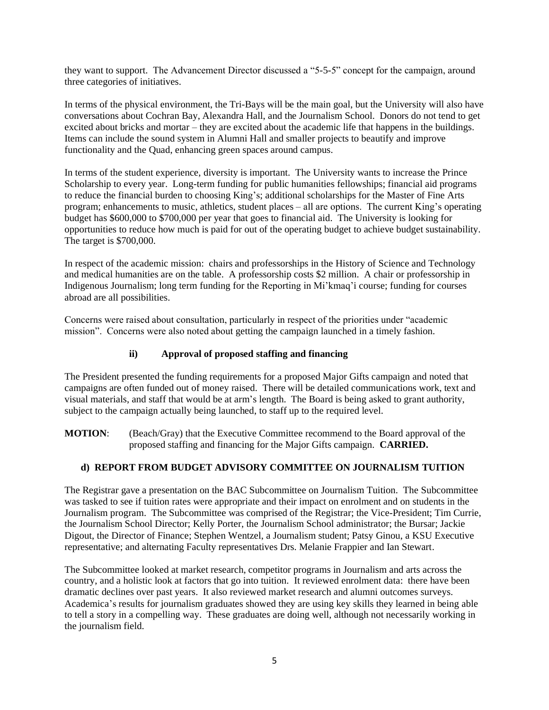they want to support. The Advancement Director discussed a "5-5-5" concept for the campaign, around three categories of initiatives.

In terms of the physical environment, the Tri-Bays will be the main goal, but the University will also have conversations about Cochran Bay, Alexandra Hall, and the Journalism School. Donors do not tend to get excited about bricks and mortar – they are excited about the academic life that happens in the buildings. Items can include the sound system in Alumni Hall and smaller projects to beautify and improve functionality and the Quad, enhancing green spaces around campus.

In terms of the student experience, diversity is important. The University wants to increase the Prince Scholarship to every year. Long-term funding for public humanities fellowships; financial aid programs to reduce the financial burden to choosing King's; additional scholarships for the Master of Fine Arts program; enhancements to music, athletics, student places – all are options. The current King's operating budget has \$600,000 to \$700,000 per year that goes to financial aid. The University is looking for opportunities to reduce how much is paid for out of the operating budget to achieve budget sustainability. The target is \$700,000.

In respect of the academic mission: chairs and professorships in the History of Science and Technology and medical humanities are on the table. A professorship costs \$2 million. A chair or professorship in Indigenous Journalism; long term funding for the Reporting in Mi'kmaq'i course; funding for courses abroad are all possibilities.

Concerns were raised about consultation, particularly in respect of the priorities under "academic mission". Concerns were also noted about getting the campaign launched in a timely fashion.

### **ii) Approval of proposed staffing and financing**

The President presented the funding requirements for a proposed Major Gifts campaign and noted that campaigns are often funded out of money raised. There will be detailed communications work, text and visual materials, and staff that would be at arm's length. The Board is being asked to grant authority, subject to the campaign actually being launched, to staff up to the required level.

**MOTION**: (Beach/Gray) that the Executive Committee recommend to the Board approval of the proposed staffing and financing for the Major Gifts campaign. **CARRIED.**

#### **d) REPORT FROM BUDGET ADVISORY COMMITTEE ON JOURNALISM TUITION**

The Registrar gave a presentation on the BAC Subcommittee on Journalism Tuition. The Subcommittee was tasked to see if tuition rates were appropriate and their impact on enrolment and on students in the Journalism program. The Subcommittee was comprised of the Registrar; the Vice-President; Tim Currie, the Journalism School Director; Kelly Porter, the Journalism School administrator; the Bursar; Jackie Digout, the Director of Finance; Stephen Wentzel, a Journalism student; Patsy Ginou, a KSU Executive representative; and alternating Faculty representatives Drs. Melanie Frappier and Ian Stewart.

The Subcommittee looked at market research, competitor programs in Journalism and arts across the country, and a holistic look at factors that go into tuition. It reviewed enrolment data: there have been dramatic declines over past years. It also reviewed market research and alumni outcomes surveys. Academica's results for journalism graduates showed they are using key skills they learned in being able to tell a story in a compelling way. These graduates are doing well, although not necessarily working in the journalism field.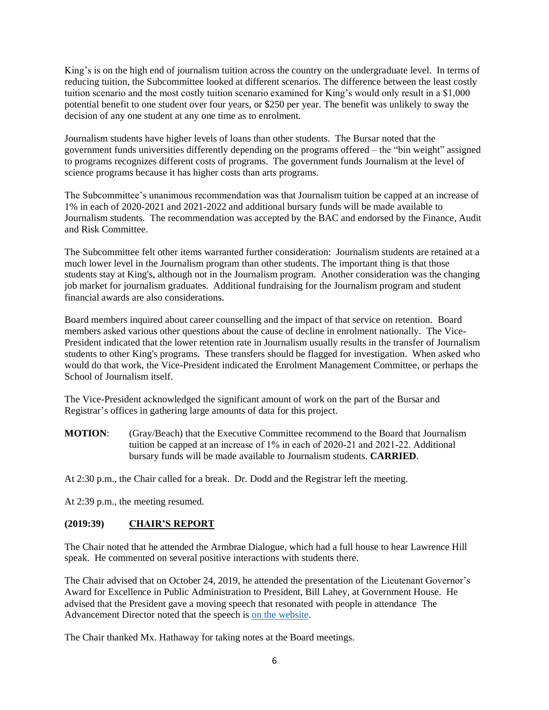King's is on the high end of journalism tuition across the country on the undergraduate level. In terms of reducing tuition, the Subcommittee looked at different scenarios. The difference between the least costly tuition scenario and the most costly tuition scenario examined for King's would only result in a \$1,000 potential benefit to one student over four years, or \$250 per year. The benefit was unlikely to sway the decision of any one student at any one time as to enrolment.

Journalism students have higher levels of loans than other students. The Bursar noted that the government funds universities differently depending on the programs offered – the "bin weight" assigned to programs recognizes different costs of programs. The government funds Journalism at the level of science programs because it has higher costs than arts programs.

The Subcommittee's unanimous recommendation was that Journalism tuition be capped at an increase of 1% in each of 2020-2021 and 2021-2022 and additional bursary funds will be made available to Journalism students. The recommendation was accepted by the BAC and endorsed by the Finance, Audit and Risk Committee.

The Subcommittee felt other items warranted further consideration: Journalism students are retained at a much lower level in the Journalism program than other students. The important thing is that those students stay at King's, although not in the Journalism program. Another consideration was the changing job market for journalism graduates. Additional fundraising for the Journalism program and student financial awards are also considerations.

Board members inquired about career counselling and the impact of that service on retention. Board members asked various other questions about the cause of decline in enrolment nationally. The Vice-President indicated that the lower retention rate in Journalism usually results in the transfer of Journalism students to other King's programs. These transfers should be flagged for investigation. When asked who would do that work, the Vice-President indicated the Enrolment Management Committee, or perhaps the School of Journalism itself.

The Vice-President acknowledged the significant amount of work on the part of the Bursar and Registrar's offices in gathering large amounts of data for this project.

**MOTION**: (Gray/Beach) that the Executive Committee recommend to the Board that Journalism tuition be capped at an increase of 1% in each of 2020‐21 and 2021‐22. Additional bursary funds will be made available to Journalism students. **CARRIED**.

At 2:30 p.m., the Chair called for a break. Dr. Dodd and the Registrar left the meeting.

At 2:39 p.m., the meeting resumed.

### **(2019:39) CHAIR'S REPORT**

The Chair noted that he attended the Armbrae Dialogue, which had a full house to hear Lawrence Hill speak. He commented on several positive interactions with students there.

The Chair advised that on October 24, 2019, he attended the presentation of the Lieutenant Governor's Award for Excellence in Public Administration to President, Bill Lahey, at Government House. He advised that the President gave a moving speech that resonated with people in attendance The Advancement Director noted that the speech i[s on the website.](https://ukings.ca/administration/presidents-office/lieutenant-governors-award/)

The Chair thanked Mx. Hathaway for taking notes at the Board meetings.